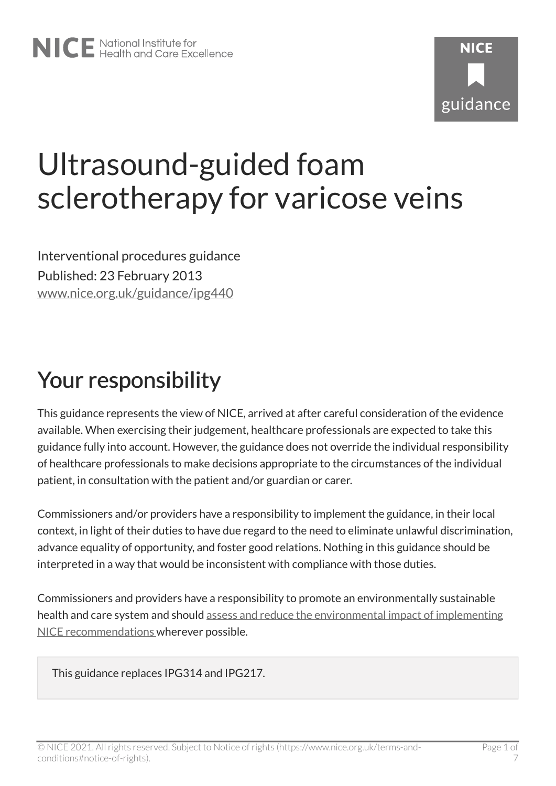# Ultrasound-guided foam sclerotherapy for varicose veins

Interventional procedures guidance Published: 23 February 2013 [www.nice.org.uk/guidance/ipg440](https://www.nice.org.uk/guidance/ipg440) 

# Your responsibility

This guidance represents the view of NICE, arrived at after careful consideration of the evidence available. When exercising their judgement, healthcare professionals are expected to take this guidance fully into account. However, the guidance does not override the individual responsibility of healthcare professionals to make decisions appropriate to the circumstances of the individual patient, in consultation with the patient and/or guardian or carer.

Commissioners and/or providers have a responsibility to implement the guidance, in their local context, in light of their duties to have due regard to the need to eliminate unlawful discrimination, advance equality of opportunity, and foster good relations. Nothing in this guidance should be interpreted in a way that would be inconsistent with compliance with those duties.

Commissioners and providers have a responsibility to promote an environmentally sustainable health and care system and should [assess and reduce the environmental impact of implementing](https://www.nice.org.uk/about/who-we-are/sustainability)  [NICE recommendations w](https://www.nice.org.uk/about/who-we-are/sustainability)herever possible.

This guidance replaces IPG314 and IPG217.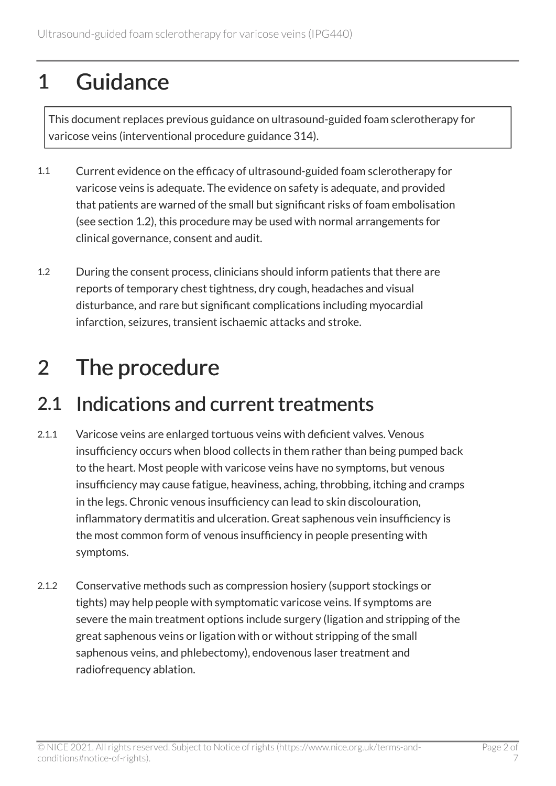# 1 Guidance

This document replaces previous guidance on ultrasound-guided foam sclerotherapy for varicose veins (interventional procedure guidance 314).

- 1.1 Current evidence on the efficacy of ultrasound-guided foam sclerotherapy for varicose veins is adequate. The evidence on safety is adequate, and provided that patients are warned of the small but significant risks of foam embolisation (see section 1.2), this procedure may be used with normal arrangements for clinical governance, consent and audit.
- 1.2 During the consent process, clinicians should inform patients that there are reports of temporary chest tightness, dry cough, headaches and visual disturbance, and rare but significant complications including myocardial infarction, seizures, transient ischaemic attacks and stroke.

# 2 The procedure

#### 2.1 Indications and current treatments

- 2.1.1 Varicose veins are enlarged tortuous veins with deficient valves. Venous insufficiency occurs when blood collects in them rather than being pumped back to the heart. Most people with varicose veins have no symptoms, but venous insufficiency may cause fatigue, heaviness, aching, throbbing, itching and cramps in the legs. Chronic venous insufficiency can lead to skin discolouration, inflammatory dermatitis and ulceration. Great saphenous vein insufficiency is the most common form of venous insufficiency in people presenting with symptoms.
- 2.1.2 Conservative methods such as compression hosiery (support stockings or tights) may help people with symptomatic varicose veins. If symptoms are severe the main treatment options include surgery (ligation and stripping of the great saphenous veins or ligation with or without stripping of the small saphenous veins, and phlebectomy), endovenous laser treatment and radiofrequency ablation.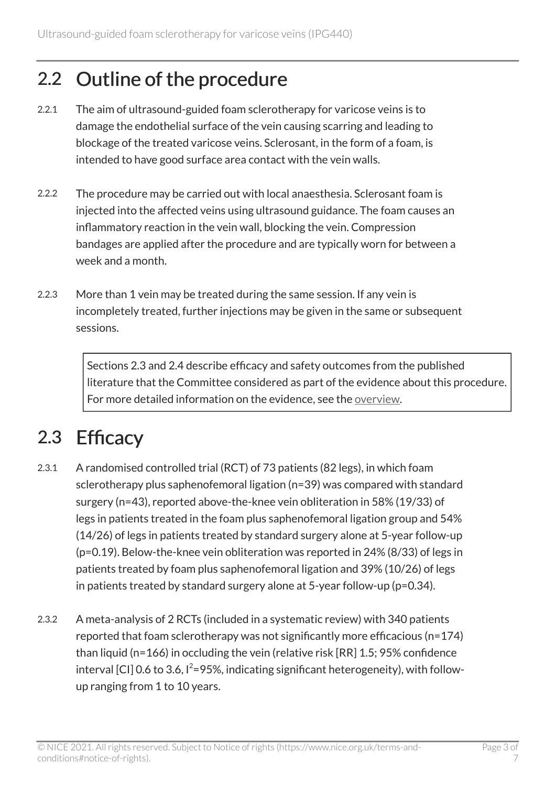#### 2.2 Outline of the procedure

- 2.2.1 The aim of ultrasound-guided foam sclerotherapy for varicose veins is to damage the endothelial surface of the vein causing scarring and leading to blockage of the treated varicose veins. Sclerosant, in the form of a foam, is intended to have good surface area contact with the vein walls.
- 2.2.2 The procedure may be carried out with local anaesthesia. Sclerosant foam is injected into the affected veins using ultrasound guidance. The foam causes an inflammatory reaction in the vein wall, blocking the vein. Compression bandages are applied after the procedure and are typically worn for between a week and a month.
- 2.2.3 More than 1 vein may be treated during the same session. If any vein is incompletely treated, further injections may be given in the same or subsequent sessions.

Sections 2.3 and 2.4 describe efficacy and safety outcomes from the published literature that the Committee considered as part of the evidence about this procedure. For more detailed information on the evidence, see the [overview](http://www.nice.org.uk/guidance/ipg440).

### 2.3 Efficacy

- 2.3.1 A randomised controlled trial (RCT) of 73 patients (82 legs), in which foam sclerotherapy plus saphenofemoral ligation (n=39) was compared with standard surgery (n=43), reported above-the-knee vein obliteration in 58% (19/33) of legs in patients treated in the foam plus saphenofemoral ligation group and 54% (14/26) of legs in patients treated by standard surgery alone at 5-year follow-up (p=0.19). Below-the-knee vein obliteration was reported in 24% (8/33) of legs in patients treated by foam plus saphenofemoral ligation and 39% (10/26) of legs in patients treated by standard surgery alone at 5-year follow-up (p=0.34).
- 2.3.2 A meta-analysis of 2 RCTs (included in a systematic review) with 340 patients reported that foam sclerotherapy was not significantly more efficacious (n=174) than liquid (n=166) in occluding the vein (relative risk [RR] 1.5; 95% confidence interval [CI] 0.6 to 3.6,  $I^2 = 95\%$ , indicating significant heterogeneity), with followup ranging from 1 to 10 years.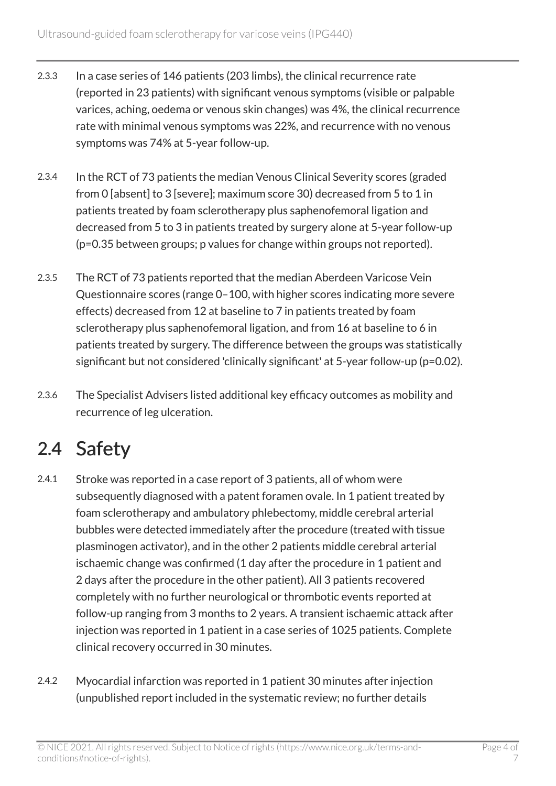- 2.3.3 In a case series of 146 patients (203 limbs), the clinical recurrence rate (reported in 23 patients) with significant venous symptoms (visible or palpable varices, aching, oedema or venous skin changes) was 4%, the clinical recurrence rate with minimal venous symptoms was 22%, and recurrence with no venous symptoms was 74% at 5-year follow-up.
- 2.3.4 In the RCT of 73 patients the median Venous Clinical Severity scores (graded from 0 [absent] to 3 [severe]; maximum score 30) decreased from 5 to 1 in patients treated by foam sclerotherapy plus saphenofemoral ligation and decreased from 5 to 3 in patients treated by surgery alone at 5-year follow-up (p=0.35 between groups; p values for change within groups not reported).
- 2.3.5 The RCT of 73 patients reported that the median Aberdeen Varicose Vein Questionnaire scores (range 0–100, with higher scores indicating more severe effects) decreased from 12 at baseline to 7 in patients treated by foam sclerotherapy plus saphenofemoral ligation, and from 16 at baseline to 6 in patients treated by surgery. The difference between the groups was statistically significant but not considered 'clinically significant' at 5-year follow-up (p=0.02).
- 2.3.6 The Specialist Advisers listed additional key efficacy outcomes as mobility and recurrence of leg ulceration.

### 2.4 Safety

- 2.4.1 Stroke was reported in a case report of 3 patients, all of whom were subsequently diagnosed with a patent foramen ovale. In 1 patient treated by foam sclerotherapy and ambulatory phlebectomy, middle cerebral arterial bubbles were detected immediately after the procedure (treated with tissue plasminogen activator), and in the other 2 patients middle cerebral arterial ischaemic change was confirmed (1 day after the procedure in 1 patient and 2 days after the procedure in the other patient). All 3 patients recovered completely with no further neurological or thrombotic events reported at follow-up ranging from 3 months to 2 years. A transient ischaemic attack after injection was reported in 1 patient in a case series of 1025 patients. Complete clinical recovery occurred in 30 minutes.
- 2.4.2 Myocardial infarction was reported in 1 patient 30 minutes after injection (unpublished report included in the systematic review; no further details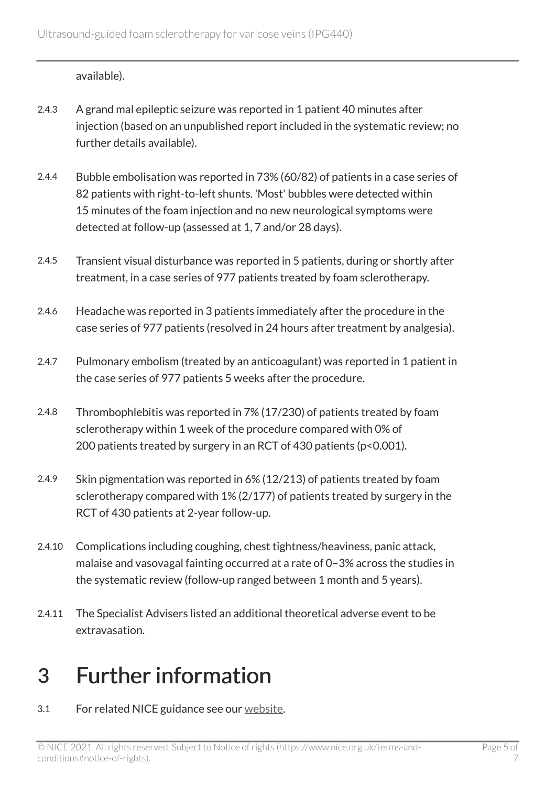available).

- 2.4.3 A grand mal epileptic seizure was reported in 1 patient 40 minutes after injection (based on an unpublished report included in the systematic review; no further details available).
- 2.4.4 Bubble embolisation was reported in 73% (60/82) of patients in a case series of 82 patients with right-to-left shunts. 'Most' bubbles were detected within 15 minutes of the foam injection and no new neurological symptoms were detected at follow-up (assessed at 1, 7 and/or 28 days).
- 2.4.5 Transient visual disturbance was reported in 5 patients, during or shortly after treatment, in a case series of 977 patients treated by foam sclerotherapy.
- 2.4.6 Headache was reported in 3 patients immediately after the procedure in the case series of 977 patients (resolved in 24 hours after treatment by analgesia).
- 2.4.7 Pulmonary embolism (treated by an anticoagulant) was reported in 1 patient in the case series of 977 patients 5 weeks after the procedure.
- 2.4.8 Thrombophlebitis was reported in 7% (17/230) of patients treated by foam sclerotherapy within 1 week of the procedure compared with 0% of 200 patients treated by surgery in an RCT of 430 patients (p<0.001).
- 2.4.9 Skin pigmentation was reported in 6% (12/213) of patients treated by foam sclerotherapy compared with 1% (2/177) of patients treated by surgery in the RCT of 430 patients at 2-year follow-up.
- 2.4.10 Complications including coughing, chest tightness/heaviness, panic attack, malaise and vasovagal fainting occurred at a rate of 0–3% across the studies in the systematic review (follow-up ranged between 1 month and 5 years).
- 2.4.11 The Specialist Advisers listed an additional theoretical adverse event to be extravasation.

### 3 Further information

3.1 For related NICE guidance see our [website](http://www.nice.org.uk/).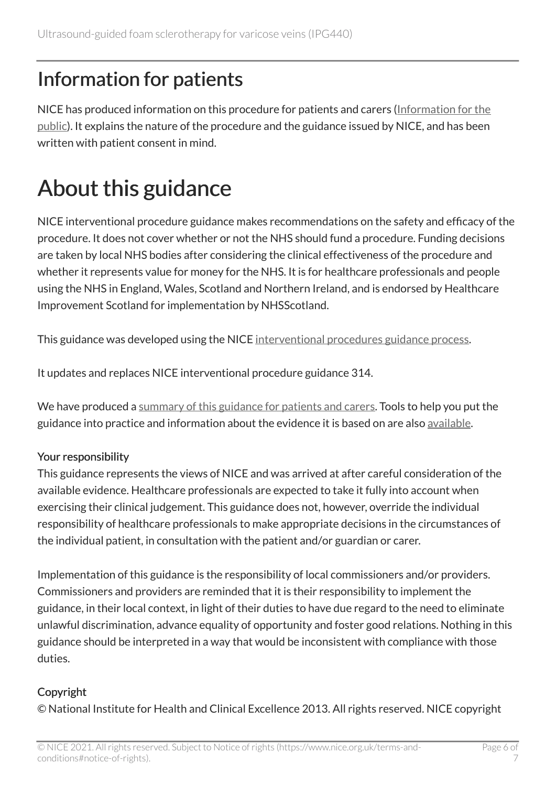#### Information for patients

NICE has produced information on this procedure for patients and carers [\(Information for the](http://www.nice.org.uk/guidance/ipg440/informationforpublic)  [public\)](http://www.nice.org.uk/guidance/ipg440/informationforpublic). It explains the nature of the procedure and the guidance issued by NICE, and has been written with patient consent in mind.

# About this guidance

NICE interventional procedure guidance makes recommendations on the safety and efficacy of the procedure. It does not cover whether or not the NHS should fund a procedure. Funding decisions are taken by local NHS bodies after considering the clinical effectiveness of the procedure and whether it represents value for money for the NHS. It is for healthcare professionals and people using the NHS in England, Wales, Scotland and Northern Ireland, and is endorsed by Healthcare Improvement Scotland for implementation by NHSScotland.

This guidance was developed using the NICE [interventional procedures guidance process](http://www.nice.org.uk/about/what-we-do/our-programmes/nice-guidance/nice-interventional-procedures-guidance).

It updates and replaces NICE interventional procedure guidance 314.

We have produced a [summary of this guidance for patients and carers.](http://www.nice.org.uk/guidance/ipg440/informationforpublic) Tools to help you put the guidance into practice and information about the evidence it is based on are also [available](http://www.nice.org.uk/guidance/ipg440).

#### Your responsibility

This guidance represents the views of NICE and was arrived at after careful consideration of the available evidence. Healthcare professionals are expected to take it fully into account when exercising their clinical judgement. This guidance does not, however, override the individual responsibility of healthcare professionals to make appropriate decisions in the circumstances of the individual patient, in consultation with the patient and/or guardian or carer.

Implementation of this guidance is the responsibility of local commissioners and/or providers. Commissioners and providers are reminded that it is their responsibility to implement the guidance, in their local context, in light of their duties to have due regard to the need to eliminate unlawful discrimination, advance equality of opportunity and foster good relations. Nothing in this guidance should be interpreted in a way that would be inconsistent with compliance with those duties.

#### Copyright

© National Institute for Health and Clinical Excellence 2013. All rights reserved. NICE copyright